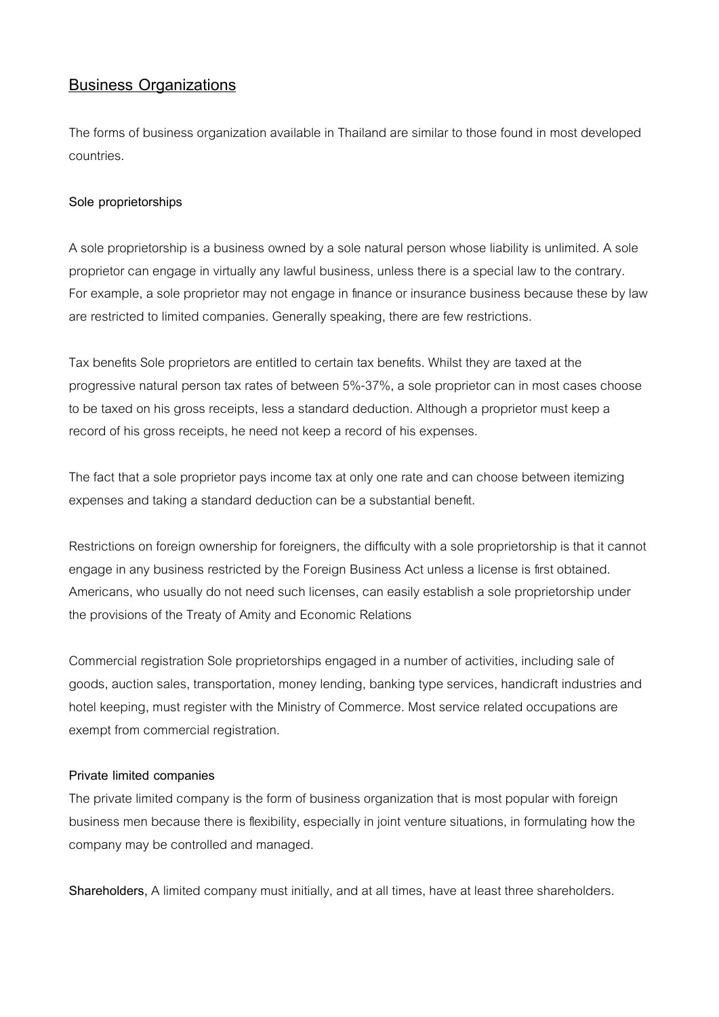# **Business Organizations**

The forms of business organization available in Thailand are similar to those found in most developed countries.

# **Sole proprietorships**

A sole proprietorship is a business owned by a sole natural person whose liability is unlimited. A sole proprietor can engage in virtually any lawful business, unless there is a special law to the contrary. For example, a sole proprietor may not engage in finance or insurance business because these by law are restricted to limited companies. Generally speaking, there are few restrictions.

Tax benefits Sole proprietors are entitled to certain tax benefits. Whilst they are taxed at the progressive natural person tax rates of between 5%-37%, a sole proprietor can in most cases choose to be taxed on his gross receipts, less a standard deduction. Although a proprietor must keep a record of his gross receipts, he need not keep a record of his expenses.

The fact that a sole proprietor pays income tax at only one rate and can choose between itemizing expenses and taking a standard deduction can be a substantial benefit.

Restrictions on foreign ownership for foreigners, the difficulty with a sole proprietorship is that it cannot engage in any business restricted by the Foreign Business Act unless a license is first obtained. Americans, who usually do not need such licenses, can easily establish a sole proprietorship under the provisions of the Treaty of Amity and Economic Relations

Commercial registration Sole proprietorships engaged in a number of activities, including sale of goods, auction sales, transportation, money lending, banking type services, handicraft industries and hotel keeping, must register with the Ministry of Commerce. Most service related occupations are exempt from commercial registration.

## **Private limited companies**

The private limited company is the form of business organization that is most popular with foreign business men because there is flexibility, especially in joint venture situations, in formulating how the company may be controlled and managed.

**Shareholders,** A limited company must initially, and at all times, have at least three shareholders.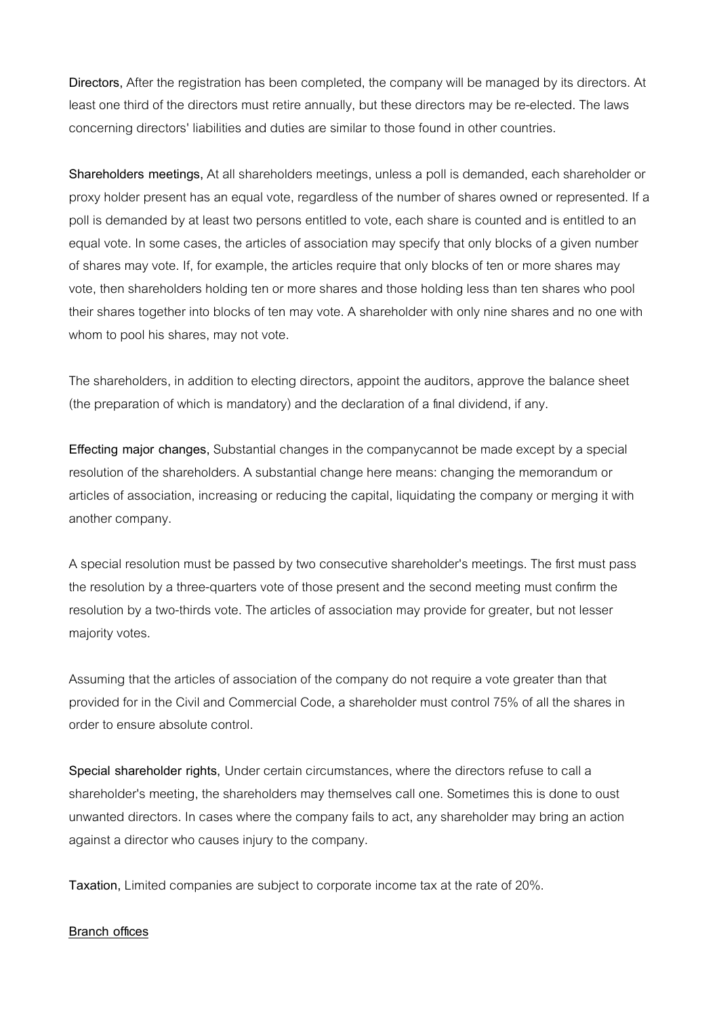**Directors,** After the registration has been completed, the company will be managed by its directors. At least one third of the directors must retire annually, but these directors may be re-elected. The laws concerning directors' liabilities and duties are similar to those found in other countries.

**Shareholders meetings,** At all shareholders meetings, unless a poll is demanded, each shareholder or proxy holder present has an equal vote, regardless of the number of shares owned or represented. If a poll is demanded by at least two persons entitled to vote, each share is counted and is entitled to an equal vote. In some cases, the articles of association may specify that only blocks of a given number of shares may vote. If, for example, the articles require that only blocks of ten or more shares may vote, then shareholders holding ten or more shares and those holding less than ten shares who pool their shares together into blocks of ten may vote. A shareholder with only nine shares and no one with whom to pool his shares, may not vote.

The shareholders, in addition to electing directors, appoint the auditors, approve the balance sheet (the preparation of which is mandatory) and the declaration of a final dividend, if any.

**Effecting major changes,** Substantial changes in the companycannot be made except by a special resolution of the shareholders. A substantial change here means: changing the memorandum or articles of association, increasing or reducing the capital, liquidating the company or merging it with another company.

A special resolution must be passed by two consecutive shareholder's meetings. The first must pass the resolution by a three-quarters vote of those present and the second meeting must confirm the resolution by a two-thirds vote. The articles of association may provide for greater, but not lesser majority votes.

Assuming that the articles of association of the company do not require a vote greater than that provided for in the Civil and Commercial Code, a shareholder must control 75% of all the shares in order to ensure absolute control.

**Special shareholder rights,** Under certain circumstances, where the directors refuse to call a shareholder's meeting, the shareholders may themselves call one. Sometimes this is done to oust unwanted directors. In cases where the company fails to act, any shareholder may bring an action against a director who causes injury to the company.

**Taxation,** Limited companies are subject to corporate income tax at the rate of 20%.

#### **Branch offices**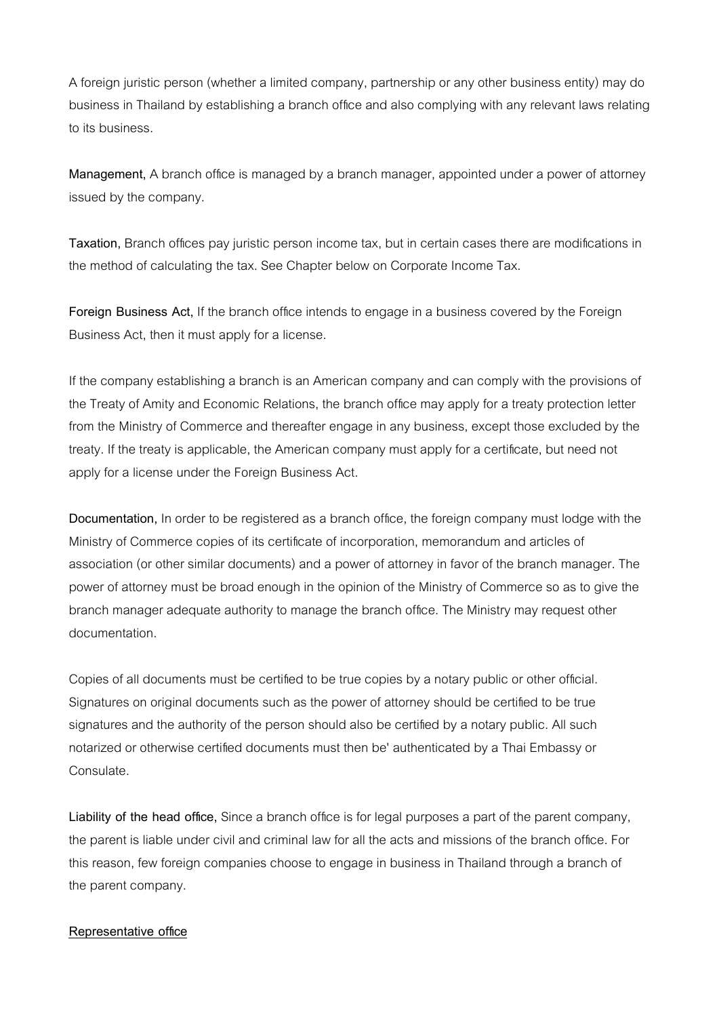A foreign juristic person (whether a limited company, partnership or any other business entity) may do business in Thailand by establishing a branch office and also complying with any relevant laws relating to its business.

**Management,** A branch office is managed by a branch manager, appointed under a power of attorney issued by the company.

**Taxation,** Branch offices pay juristic person income tax, but in certain cases there are modifications in the method of calculating the tax. See Chapter below on Corporate Income Tax.

**Foreign Business Act,** If the branch office intends to engage in a business covered by the Foreign Business Act, then it must apply for a license.

If the company establishing a branch is an American company and can comply with the provisions of the Treaty of Amity and Economic Relations, the branch office may apply for a treaty protection letter from the Ministry of Commerce and thereafter engage in any business, except those excluded by the treaty. If the treaty is applicable, the American company must apply for a certificate, but need not apply for a license under the Foreign Business Act.

**Documentation,** In order to be registered as a branch office, the foreign company must lodge with the Ministry of Commerce copies of its certificate of incorporation, memorandum and articles of association (or other similar documents) and a power of attorney in favor of the branch manager. The power of attorney must be broad enough in the opinion of the Ministry of Commerce so as to give the branch manager adequate authority to manage the branch office. The Ministry may request other documentation.

Copies of all documents must be certified to be true copies by a notary public or other official. Signatures on original documents such as the power of attorney should be certified to be true signatures and the authority of the person should also be certified by a notary public. All such notarized or otherwise certified documents must then be' authenticated by a Thai Embassy or Consulate.

**Liability of the head office,** Since a branch office is for legal purposes a part of the parent company, the parent is liable under civil and criminal law for all the acts and missions of the branch office. For this reason, few foreign companies choose to engage in business in Thailand through a branch of the parent company.

### **Representative office**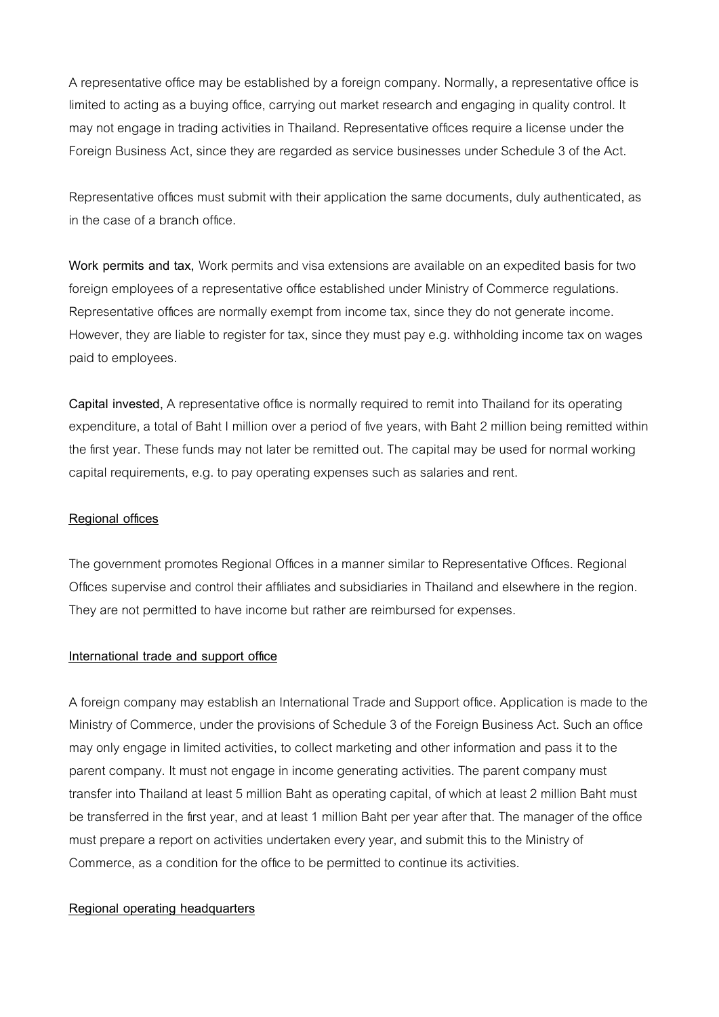A representative office may be established by a foreign company. Normally, a representative office is limited to acting as a buying office, carrying out market research and engaging in quality control. It may not engage in trading activities in Thailand. Representative offices require a license under the Foreign Business Act, since they are regarded as service businesses under Schedule 3 of the Act.

Representative offices must submit with their application the same documents, duly authenticated, as in the case of a branch office.

**Work permits and tax,** Work permits and visa extensions are available on an expedited basis for two foreign employees of a representative office established under Ministry of Commerce regulations. Representative offices are normally exempt from income tax, since they do not generate income. However, they are liable to register for tax, since they must pay e.g. withholding income tax on wages paid to employees.

**Capital invested,** A representative office is normally required to remit into Thailand for its operating expenditure, a total of Baht I million over a period of five years, with Baht 2 million being remitted within the first year. These funds may not later be remitted out. The capital may be used for normal working capital requirements, e.g. to pay operating expenses such as salaries and rent.

## **Regional offices**

The government promotes Regional Offices in a manner similar to Representative Offices. Regional Offices supervise and control their affiliates and subsidiaries in Thailand and elsewhere in the region. They are not permitted to have income but rather are reimbursed for expenses.

## **International trade and support office**

A foreign company may establish an International Trade and Support office. Application is made to the Ministry of Commerce, under the provisions of Schedule 3 of the Foreign Business Act. Such an office may only engage in limited activities, to collect marketing and other information and pass it to the parent company. It must not engage in income generating activities. The parent company must transfer into Thailand at least 5 million Baht as operating capital, of which at least 2 million Baht must be transferred in the first year, and at least 1 million Baht per year after that. The manager of the office must prepare a report on activities undertaken every year, and submit this to the Ministry of Commerce, as a condition for the office to be permitted to continue its activities.

### **Regional operating headquarters**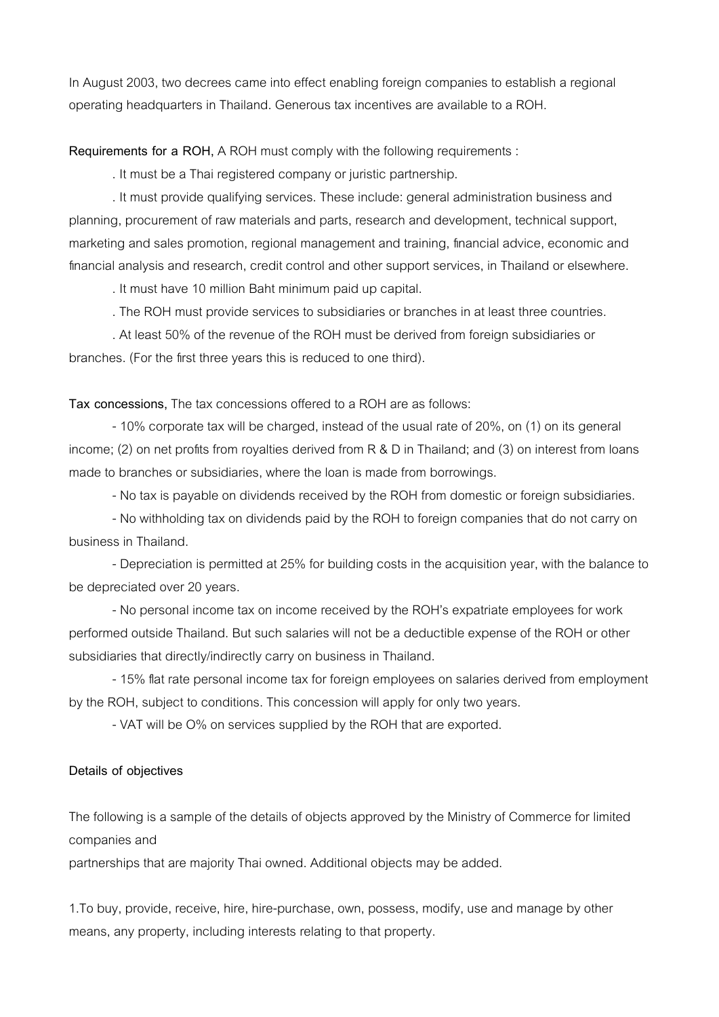In August 2003, two decrees came into effect enabling foreign companies to establish a regional operating headquarters in Thailand. Generous tax incentives are available to a ROH.

**Requirements for a ROH,** A ROH must comply with the following requirements :

. It must be a Thai registered company or juristic partnership.

 . It must provide qualifying services. These include: general administration business and planning, procurement of raw materials and parts, research and development, technical support, marketing and sales promotion, regional management and training, financial advice, economic and financial analysis and research, credit control and other support services, in Thailand or elsewhere.

. It must have 10 million Baht minimum paid up capital.

. The ROH must provide services to subsidiaries or branches in at least three countries.

 . At least 50% of the revenue of the ROH must be derived from foreign subsidiaries or branches. (For the first three years this is reduced to one third).

**Tax concessions,** The tax concessions offered to a ROH are as follows:

 - 10% corporate tax will be charged, instead of the usual rate of 20%, on (1) on its general income; (2) on net profits from royalties derived from R & D in Thailand; and (3) on interest from loans made to branches or subsidiaries, where the loan is made from borrowings.

- No tax is payable on dividends received by the ROH from domestic or foreign subsidiaries.

 - No withholding tax on dividends paid by the ROH to foreign companies that do not carry on business in Thailand.

 - Depreciation is permitted at 25% for building costs in the acquisition year, with the balance to be depreciated over 20 years.

 - No personal income tax on income received by the ROH's expatriate employees for work performed outside Thailand. But such salaries will not be a deductible expense of the ROH or other subsidiaries that directly/indirectly carry on business in Thailand.

 - 15% flat rate personal income tax for foreign employees on salaries derived from employment by the ROH, subject to conditions. This concession will apply for only two years.

- VAT will be O% on services supplied by the ROH that are exported.

#### **Details of objectives**

The following is a sample of the details of objects approved by the Ministry of Commerce for limited companies and

partnerships that are majority Thai owned. Additional objects may be added.

1.To buy, provide, receive, hire, hire-purchase, own, possess, modify, use and manage by other means, any property, including interests relating to that property.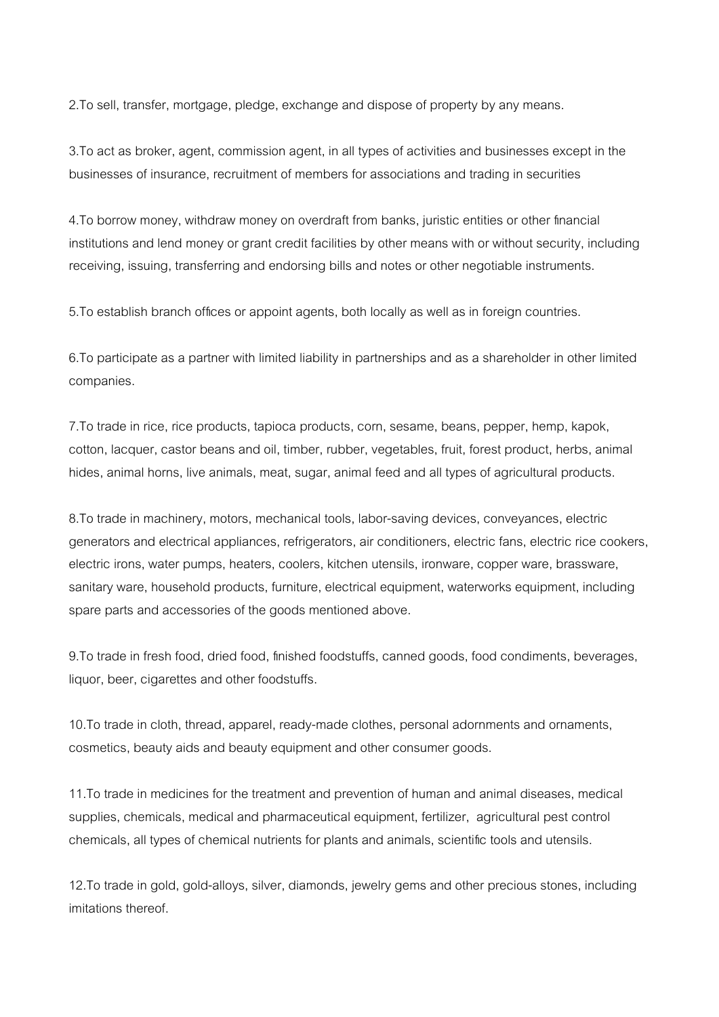2.To sell, transfer, mortgage, pledge, exchange and dispose of property by any means.

3.To act as broker, agent, commission agent, in all types of activities and businesses except in the businesses of insurance, recruitment of members for associations and trading in securities

4.To borrow money, withdraw money on overdraft from banks, juristic entities or other financial institutions and lend money or grant credit facilities by other means with or without security, including receiving, issuing, transferring and endorsing bills and notes or other negotiable instruments.

5.To establish branch offices or appoint agents, both locally as well as in foreign countries.

6.To participate as a partner with limited liability in partnerships and as a shareholder in other limited companies.

7.To trade in rice, rice products, tapioca products, corn, sesame, beans, pepper, hemp, kapok, cotton, lacquer, castor beans and oil, timber, rubber, vegetables, fruit, forest product, herbs, animal hides, animal horns, live animals, meat, sugar, animal feed and all types of agricultural products.

8.To trade in machinery, motors, mechanical tools, labor-saving devices, conveyances, electric generators and electrical appliances, refrigerators, air conditioners, electric fans, electric rice cookers, electric irons, water pumps, heaters, coolers, kitchen utensils, ironware, copper ware, brassware, sanitary ware, household products, furniture, electrical equipment, waterworks equipment, including spare parts and accessories of the goods mentioned above.

9.To trade in fresh food, dried food, finished foodstuffs, canned goods, food condiments, beverages, liquor, beer, cigarettes and other foodstuffs.

10.To trade in cloth, thread, apparel, ready-made clothes, personal adornments and ornaments, cosmetics, beauty aids and beauty equipment and other consumer goods.

11.To trade in medicines for the treatment and prevention of human and animal diseases, medical supplies, chemicals, medical and pharmaceutical equipment, fertilizer, agricultural pest control chemicals, all types of chemical nutrients for plants and animals, scientific tools and utensils.

12.To trade in gold, gold-alloys, silver, diamonds, jewelry gems and other precious stones, including imitations thereof.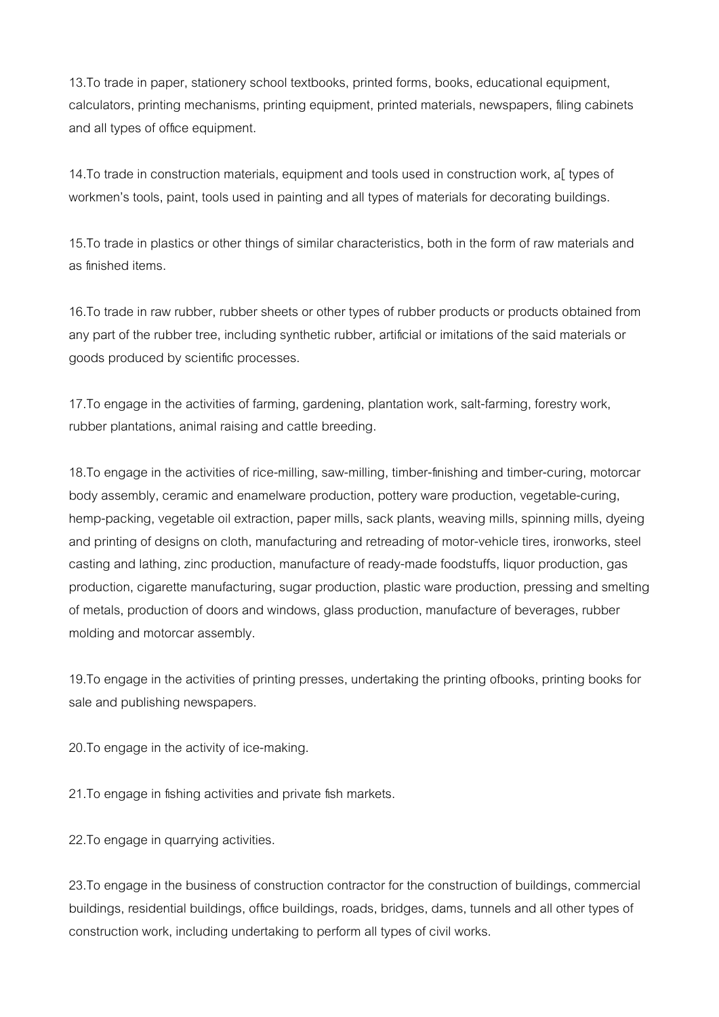13.To trade in paper, stationery school textbooks, printed forms, books, educational equipment, calculators, printing mechanisms, printing equipment, printed materials, newspapers, filing cabinets and all types of office equipment.

14.To trade in construction materials, equipment and tools used in construction work, a[ types of workmen's tools, paint, tools used in painting and all types of materials for decorating buildings.

15.To trade in plastics or other things of similar characteristics, both in the form of raw materials and as finished items.

16.To trade in raw rubber, rubber sheets or other types of rubber products or products obtained from any part of the rubber tree, including synthetic rubber, artificial or imitations of the said materials or goods produced by scientific processes.

17.To engage in the activities of farming, gardening, plantation work, salt-farming, forestry work, rubber plantations, animal raising and cattle breeding.

18.To engage in the activities of rice-milling, saw-milling, timber-finishing and timber-curing, motorcar body assembly, ceramic and enamelware production, pottery ware production, vegetable-curing, hemp-packing, vegetable oil extraction, paper mills, sack plants, weaving mills, spinning mills, dyeing and printing of designs on cloth, manufacturing and retreading of motor-vehicle tires, ironworks, steel casting and lathing, zinc production, manufacture of ready-made foodstuffs, liquor production, gas production, cigarette manufacturing, sugar production, plastic ware production, pressing and smelting of metals, production of doors and windows, glass production, manufacture of beverages, rubber molding and motorcar assembly.

19.To engage in the activities of printing presses, undertaking the printing ofbooks, printing books for sale and publishing newspapers.

20.To engage in the activity of ice-making.

21.To engage in fishing activities and private fish markets.

22. To engage in quarrying activities.

23.To engage in the business of construction contractor for the construction of buildings, commercial buildings, residential buildings, office buildings, roads, bridges, dams, tunnels and all other types of construction work, including undertaking to perform all types of civil works.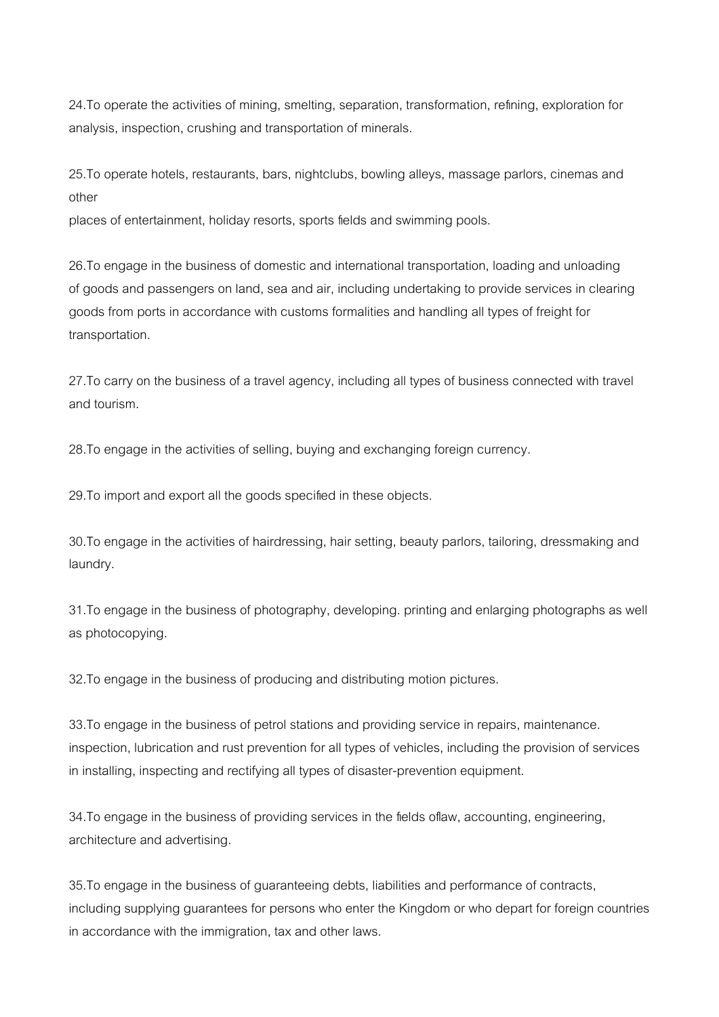24.To operate the activities of mining, smelting, separation, transformation, refining, exploration for analysis, inspection, crushing and transportation of minerals.

25.To operate hotels, restaurants, bars, nightclubs, bowling alleys, massage parlors, cinemas and other

places of entertainment, holiday resorts, sports fields and swimming pools.

26.To engage in the business of domestic and international transportation, loading and unloading of goods and passengers on land, sea and air, including undertaking to provide services in clearing goods from ports in accordance with customs formalities and handling all types of freight for transportation.

27.To carry on the business of a travel agency, including all types of business connected with travel and tourism.

28.To engage in the activities of selling, buying and exchanging foreign currency.

29.To import and export all the goods specified in these objects.

30.To engage in the activities of hairdressing, hair setting, beauty parlors, tailoring, dressmaking and laundry.

31.To engage in the business of photography, developing. printing and enlarging photographs as well as photocopying.

32.To engage in the business of producing and distributing motion pictures.

33.To engage in the business of petrol stations and providing service in repairs, maintenance. inspection, lubrication and rust prevention for all types of vehicles, including the provision of services in installing, inspecting and rectifying all types of disaster-prevention equipment.

34.To engage in the business of providing services in the fields oflaw, accounting, engineering, architecture and advertising.

35.To engage in the business of guaranteeing debts, liabilities and performance of contracts, including supplying guarantees for persons who enter the Kingdom or who depart for foreign countries in accordance with the immigration, tax and other laws.